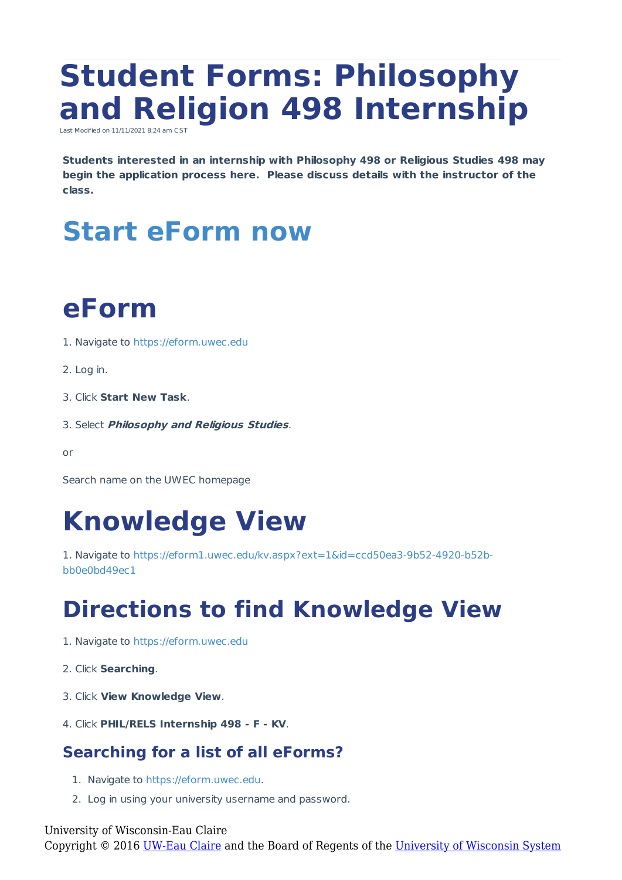# **Student Forms: Philosophy and Religion 498 Internship**

Last Modified on 11/11/2021 8:24 am CST

**Students interested in an internship with Philosophy 498 or Religious Studies 498 may begin the application process here. Please discuss details with the instructor of the class.**

## **Start eForm now**

# **eForm**

- 1. Navigate to https://eform.uwec.edu
- 2. Log in.
- 3. Click **Start New Task**.
- 3. Select **Philosophy and Religious Studies**.

or

Search name on the UWEC homepage

### **Knowledge View**

1. Navigate to https://eform1.uwec.edu/kv.aspx?ext=1&id=ccd50ea3-9b52-4920-b52bbb0e0bd49ec1

### **Directions to find Knowledge View**

- 1. Navigate to https://eform.uwec.edu
- 2. Click **Searching**.
- 3. Click **View Knowledge View**.
- 4. Click **PHIL/RELS Internship 498 - F - KV**.

#### **Searching for a list of all eForms?**

- 1. Navigate to https://eform.uwec.edu.
- 2. Log in using your university username and password.

University of Wisconsin-Eau Claire

Copyright © 2016 [UW-Eau Claire](http://www.uwec.edu) and the Board of Regents of the [University of Wisconsin System](http://www.uwsa.edu/)